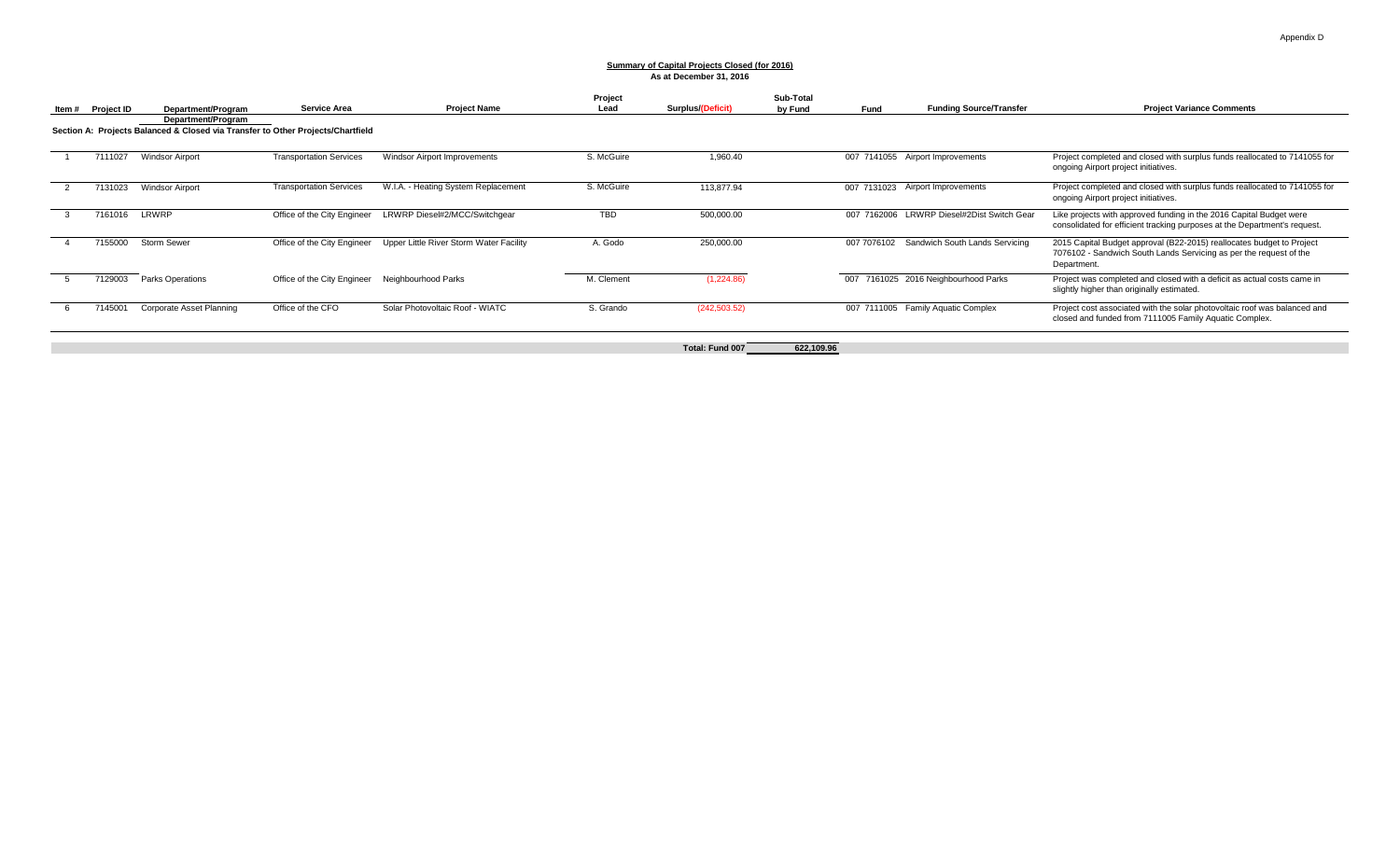## **Summary of Capital Projects Closed (for 2016) As at December 31, 2016**

| Item # Project ID | Department/Program                                                                                    | Service Area                   | <b>Project Name</b>                     | Project<br>Lead | Surplus/(Deficit) | Sub-Total<br>by Fund | Fund        | <b>Funding Source/Transfer</b>             | <b>Project Variance Comments</b>                                                                                                                           |
|-------------------|-------------------------------------------------------------------------------------------------------|--------------------------------|-----------------------------------------|-----------------|-------------------|----------------------|-------------|--------------------------------------------|------------------------------------------------------------------------------------------------------------------------------------------------------------|
|                   | Department/Program<br>Section A: Projects Balanced & Closed via Transfer to Other Projects/Chartfield |                                |                                         |                 |                   |                      |             |                                            |                                                                                                                                                            |
| 7111027           | <b>Windsor Airport</b>                                                                                | <b>Transportation Services</b> | Windsor Airport Improvements            | S. McGuire      | 1,960.40          |                      |             | 007 7141055 Airport Improvements           | Project completed and closed with surplus funds reallocated to 7141055 for<br>ongoing Airport project initiatives.                                         |
| 7131023           | <b>Windsor Airport</b>                                                                                | <b>Transportation Services</b> | W.I.A. - Heating System Replacement     | S. McGuire      | 113.877.94        |                      |             | 007 7131023 Airport Improvements           | Project completed and closed with surplus funds reallocated to 7141055 for<br>ongoing Airport project initiatives.                                         |
| 7161016           | LRWRP                                                                                                 | Office of the City Engineer    | LRWRP Diesel#2/MCC/Switchgear           | <b>TBD</b>      | 500,000.00        |                      |             | 007 7162006 LRWRP Diesel#2Dist Switch Gear | Like projects with approved funding in the 2016 Capital Budget were<br>consolidated for efficient tracking purposes at the Department's request.           |
| 7155000           | <b>Storm Sewer</b>                                                                                    | Office of the City Engineer    | Upper Little River Storm Water Facility | A. Godo         | 250,000.00        |                      | 007 7076102 | Sandwich South Lands Servicing             | 2015 Capital Budget approval (B22-2015) reallocates budget to Project<br>7076102 - Sandwich South Lands Servicing as per the request of the<br>Department. |
| 7129003           | <b>Parks Operations</b>                                                                               | Office of the City Engineer    | Neighbourhood Parks                     | M. Clement      | (1,224.86)        |                      |             | 007 7161025 2016 Neighbourhood Parks       | Project was completed and closed with a deficit as actual costs came in<br>slightly higher than originally estimated.                                      |
| 7145001           | Corporate Asset Planning                                                                              | Office of the CFO              | Solar Photovoltaic Roof - WIATC         | S. Grando       | (242, 503.52)     |                      |             | 007 7111005 Family Aquatic Complex         | Project cost associated with the solar photovoltaic roof was balanced and<br>closed and funded from 7111005 Family Aquatic Complex.                        |

**Total: Fund 007 622,109.96**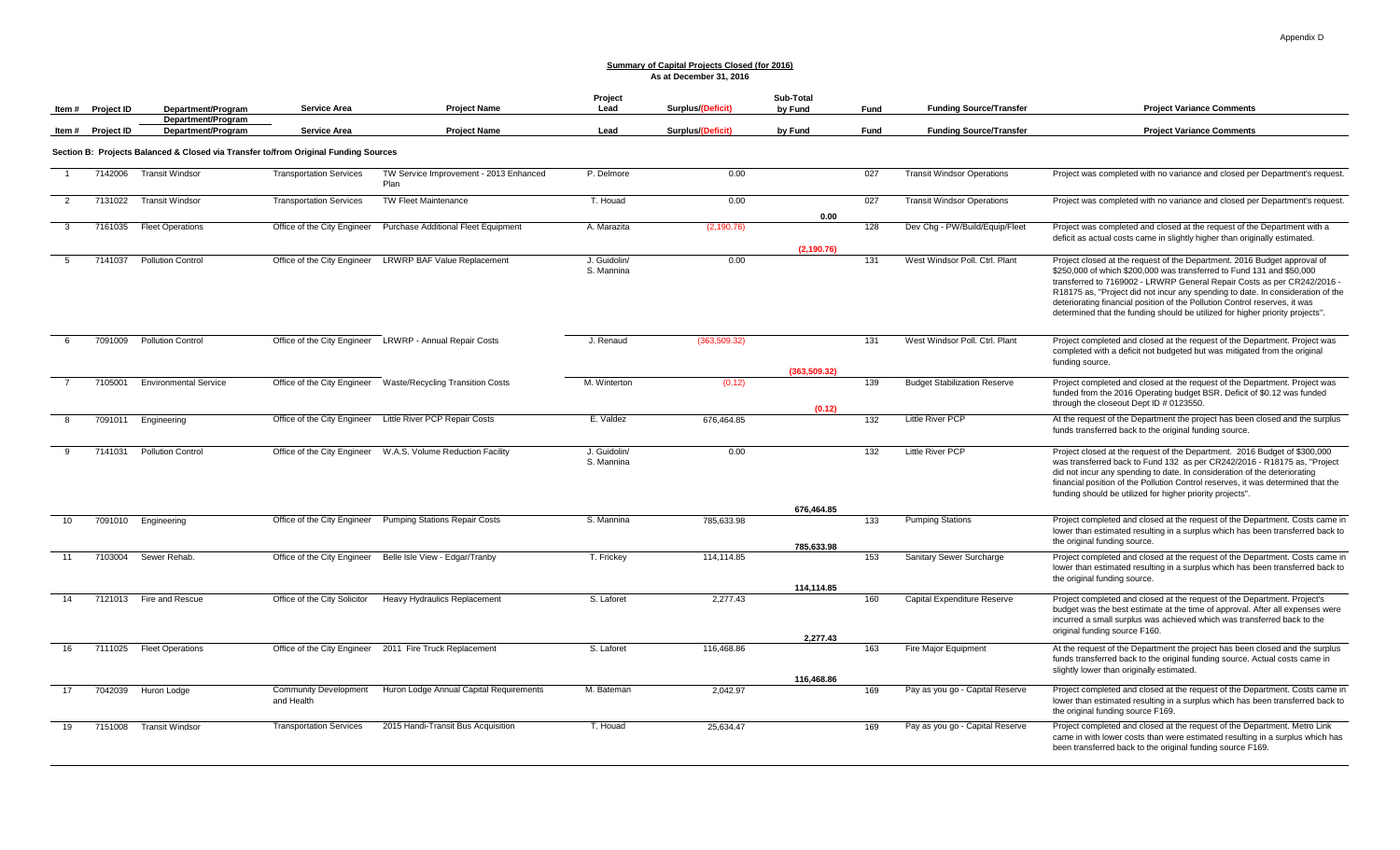## **Summary of Capital Projects Closed (for 2016) As at December 31, 2016**

|               | Item # Project ID | Department/Program                                                                  | <b>Service Area</b>                        | <b>Project Name</b>                                             | Project<br>Lead            | Surplus/(Deficit) | Sub-Total<br>by Fund   | Fund | <b>Funding Source/Transfer</b>      | <b>Project Variance Comments</b>                                                                                                                                                                                                                                                                                                                                                                                                                                               |
|---------------|-------------------|-------------------------------------------------------------------------------------|--------------------------------------------|-----------------------------------------------------------------|----------------------------|-------------------|------------------------|------|-------------------------------------|--------------------------------------------------------------------------------------------------------------------------------------------------------------------------------------------------------------------------------------------------------------------------------------------------------------------------------------------------------------------------------------------------------------------------------------------------------------------------------|
|               | Item # Project ID | Department/Program<br>Department/Program                                            | <b>Service Area</b>                        | <b>Project Name</b>                                             | Lead                       | Surplus/(Deficit) | by Fund                | Fund | <b>Funding Source/Transfer</b>      | <b>Project Variance Comments</b>                                                                                                                                                                                                                                                                                                                                                                                                                                               |
|               |                   | Section B: Projects Balanced & Closed via Transfer to/from Original Funding Sources |                                            |                                                                 |                            |                   |                        |      |                                     |                                                                                                                                                                                                                                                                                                                                                                                                                                                                                |
|               | 7142006           | <b>Transit Windsor</b>                                                              | <b>Transportation Services</b>             | TW Service Improvement - 2013 Enhanced<br>Plan                  | P. Delmore                 | 0.00              |                        | 027  | <b>Transit Windsor Operations</b>   | Project was completed with no variance and closed per Department's request.                                                                                                                                                                                                                                                                                                                                                                                                    |
| 2             | 7131022           | <b>Transit Windsor</b>                                                              | <b>Transportation Services</b>             | <b>TW Fleet Maintenance</b>                                     | T. Houad                   | 0.00              | 0.00                   | 027  | <b>Transit Windsor Operations</b>   | Project was completed with no variance and closed per Department's request.                                                                                                                                                                                                                                                                                                                                                                                                    |
| $\mathcal{R}$ | 7161035           | <b>Fleet Operations</b>                                                             |                                            | Office of the City Engineer Purchase Additional Fleet Equipment | A. Marazita                | (2, 190.76)       | (2, 190.76)            | 128  | Dev Chg - PW/Build/Equip/Fleet      | Project was completed and closed at the request of the Department with a<br>deficit as actual costs came in slightly higher than originally estimated.                                                                                                                                                                                                                                                                                                                         |
|               | 7141037           | <b>Pollution Control</b>                                                            | Office of the City Engineer                | <b>LRWRP BAF Value Replacement</b>                              | J. Guidolin/<br>S. Mannina | 0.00              |                        | 131  | West Windsor Poll, Ctrl, Plant      | Project closed at the request of the Department. 2016 Budget approval of<br>\$250,000 of which \$200,000 was transferred to Fund 131 and \$50,000<br>transferred to 7169002 - LRWRP General Repair Costs as per CR242/2016 -<br>R18175 as, "Project did not incur any spending to date. In consideration of the<br>deteriorating financial position of the Pollution Control reserves, it was<br>determined that the funding should be utilized for higher priority projects". |
|               | 7091009           | <b>Pollution Control</b>                                                            |                                            | Office of the City Engineer LRWRP - Annual Repair Costs         | J. Renaud                  | (363, 509.32)     | (363, 509.32)          | 131  | West Windsor Poll. Ctrl. Plant      | Project completed and closed at the request of the Department. Project was<br>completed with a deficit not budgeted but was mitigated from the original<br>funding source.                                                                                                                                                                                                                                                                                                     |
|               | 7105001           | <b>Environmental Service</b>                                                        | Office of the City Engineer                | <b>Waste/Recycling Transition Costs</b>                         | M. Winterton               | (0.12)            | (0.12)                 | 139  | <b>Budget Stabilization Reserve</b> | Project completed and closed at the request of the Department. Project was<br>funded from the 2016 Operating budget BSR. Deficit of \$0.12 was funded<br>through the closeout Dept ID # 0123550.                                                                                                                                                                                                                                                                               |
|               | 7091011           | Engineering                                                                         |                                            | Office of the City Engineer Little River PCP Repair Costs       | E. Valdez                  | 676,464.85        |                        | 132  | Little River PCP                    | At the request of the Department the project has been closed and the surplus<br>funds transferred back to the original funding source.                                                                                                                                                                                                                                                                                                                                         |
| q             |                   | 7141031 Pollution Control                                                           |                                            | Office of the City Engineer W.A.S. Volume Reduction Facility    | J. Guidolin/<br>S. Mannina | 0.00              |                        | 132  | <b>Little River PCP</b>             | Project closed at the request of the Department. 2016 Budget of \$300,000<br>was transferred back to Fund 132 as per CR242/2016 - R18175 as, "Project<br>did not incur any spending to date. In consideration of the deteriorating<br>financial position of the Pollution Control reserves, it was determined that the<br>funding should be utilized for higher priority projects".                                                                                            |
|               |                   |                                                                                     |                                            |                                                                 |                            |                   | 676,464.85             |      |                                     |                                                                                                                                                                                                                                                                                                                                                                                                                                                                                |
| 10            |                   | 7091010 Engineering                                                                 |                                            | Office of the City Engineer Pumping Stations Repair Costs       | S. Mannina                 | 785,633.98        |                        | 133  | <b>Pumping Stations</b>             | Project completed and closed at the request of the Department. Costs came in<br>lower than estimated resulting in a surplus which has been transferred back to<br>the original funding source.                                                                                                                                                                                                                                                                                 |
| 11            | 7103004           | Sewer Rehab.                                                                        | Office of the City Engineer                | Belle Isle View - Edgar/Tranby                                  | T. Frickey                 | 114.114.85        | 785,633.98             | 153  | Sanitary Sewer Surcharge            | Project completed and closed at the request of the Department. Costs came in<br>lower than estimated resulting in a surplus which has been transferred back to<br>the original funding source.                                                                                                                                                                                                                                                                                 |
| 14            | 7121013           | Fire and Rescue                                                                     | Office of the City Solicitor               | <b>Heavy Hydraulics Replacement</b>                             | S. Laforet                 | 2.277.43          | 114,114.85<br>2,277.43 | 160  | Capital Expenditure Reserve         | Project completed and closed at the request of the Department. Project's<br>budget was the best estimate at the time of approval. After all expenses were<br>incurred a small surplus was achieved which was transferred back to the<br>original funding source F160.                                                                                                                                                                                                          |
| 16            |                   | 7111025 Fleet Operations                                                            |                                            | Office of the City Engineer 2011 Fire Truck Replacement         | S. Laforet                 | 116,468.86        | 116.468.86             | 163  | Fire Major Equipment                | At the request of the Department the project has been closed and the surplus<br>funds transferred back to the original funding source. Actual costs came in<br>slightly lower than originally estimated.                                                                                                                                                                                                                                                                       |
| 17            | 7042039           | Huron Lodge                                                                         | <b>Community Development</b><br>and Health | Huron Lodge Annual Capital Requirements                         | M. Bateman                 | 2.042.97          |                        | 169  | Pay as you go - Capital Reserve     | Project completed and closed at the request of the Department. Costs came in<br>lower than estimated resulting in a surplus which has been transferred back to<br>the original funding source F169.                                                                                                                                                                                                                                                                            |
| 19            | 7151008           | <b>Transit Windsor</b>                                                              | <b>Transportation Services</b>             | 2015 Handi-Transit Bus Acquisition                              | T. Houad                   | 25.634.47         |                        | 169  | Pay as you go - Capital Reserve     | Project completed and closed at the request of the Department. Metro Link<br>came in with lower costs than were estimated resulting in a surplus which has<br>been transferred back to the original funding source F169.                                                                                                                                                                                                                                                       |